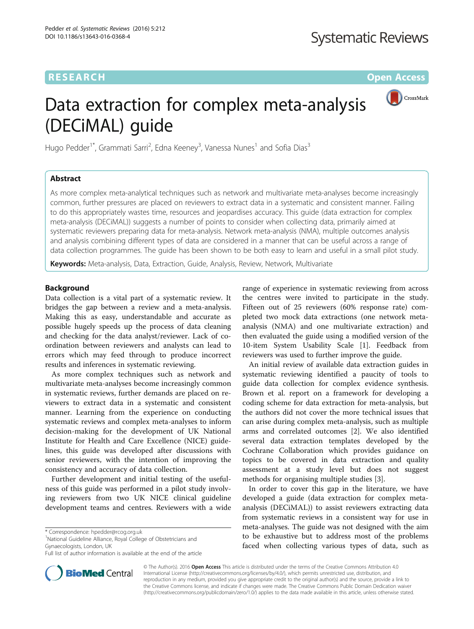# <span id="page-0-0"></span>**RESEARCH CHINESE ARCH CHINESE ARCH CHINESE ARCH**

# Data extraction for complex meta-analysis (DECiMAL) guide

CrossMark

Hugo Pedder<sup>1\*</sup>, Grammati Sarri<sup>2</sup>, Edna Keeney<sup>3</sup>, Vanessa Nunes<sup>1</sup> and Sofia Dias<sup>3</sup>

# Abstract

As more complex meta-analytical techniques such as network and multivariate meta-analyses become increasingly common, further pressures are placed on reviewers to extract data in a systematic and consistent manner. Failing to do this appropriately wastes time, resources and jeopardises accuracy. This guide (data extraction for complex meta-analysis (DECiMAL)) suggests a number of points to consider when collecting data, primarily aimed at systematic reviewers preparing data for meta-analysis. Network meta-analysis (NMA), multiple outcomes analysis and analysis combining different types of data are considered in a manner that can be useful across a range of data collection programmes. The guide has been shown to be both easy to learn and useful in a small pilot study.

Keywords: Meta-analysis, Data, Extraction, Guide, Analysis, Review, Network, Multivariate

#### Background

Data collection is a vital part of a systematic review. It bridges the gap between a review and a meta-analysis. Making this as easy, understandable and accurate as possible hugely speeds up the process of data cleaning and checking for the data analyst/reviewer. Lack of coordination between reviewers and analysts can lead to errors which may feed through to produce incorrect results and inferences in systematic reviewing.

As more complex techniques such as network and multivariate meta-analyses become increasingly common in systematic reviews, further demands are placed on reviewers to extract data in a systematic and consistent manner. Learning from the experience on conducting systematic reviews and complex meta-analyses to inform decision-making for the development of UK National Institute for Health and Care Excellence (NICE) guidelines, this guide was developed after discussions with senior reviewers, with the intention of improving the consistency and accuracy of data collection.

Further development and initial testing of the usefulness of this guide was performed in a pilot study involving reviewers from two UK NICE clinical guideline development teams and centres. Reviewers with a wide

<sup>1</sup>National Guideline Alliance, Royal College of Obstetricians and Gynaecologists, London, UK

range of experience in systematic reviewing from across the centres were invited to participate in the study. Fifteen out of 25 reviewers (60% response rate) completed two mock data extractions (one network metaanalysis (NMA) and one multivariate extraction) and then evaluated the guide using a modified version of the 10-item System Usability Scale [\[1](#page-5-0)]. Feedback from reviewers was used to further improve the guide.

An initial review of available data extraction guides in systematic reviewing identified a paucity of tools to guide data collection for complex evidence synthesis. Brown et al. report on a framework for developing a coding scheme for data extraction for meta-analysis, but the authors did not cover the more technical issues that can arise during complex meta-analysis, such as multiple arms and correlated outcomes [\[2](#page-5-0)]. We also identified several data extraction templates developed by the Cochrane Collaboration which provides guidance on topics to be covered in data extraction and quality assessment at a study level but does not suggest methods for organising multiple studies [[3\]](#page-5-0).

In order to cover this gap in the literature, we have developed a guide (data extraction for complex metaanalysis (DECiMAL)) to assist reviewers extracting data from systematic reviews in a consistent way for use in meta-analyses. The guide was not designed with the aim to be exhaustive but to address most of the problems faced when collecting various types of data, such as



© The Author(s). 2016 Open Access This article is distributed under the terms of the Creative Commons Attribution 4.0 International License [\(http://creativecommons.org/licenses/by/4.0/](http://creativecommons.org/licenses/by/4.0/)), which permits unrestricted use, distribution, and reproduction in any medium, provided you give appropriate credit to the original author(s) and the source, provide a link to the Creative Commons license, and indicate if changes were made. The Creative Commons Public Domain Dedication waiver [\(http://creativecommons.org/publicdomain/zero/1.0/](http://creativecommons.org/publicdomain/zero/1.0/)) applies to the data made available in this article, unless otherwise stated.

<sup>\*</sup> Correspondence: [hpedder@rcog.org.uk](mailto:hpedder@rcog.org.uk) <sup>1</sup>

Full list of author information is available at the end of the article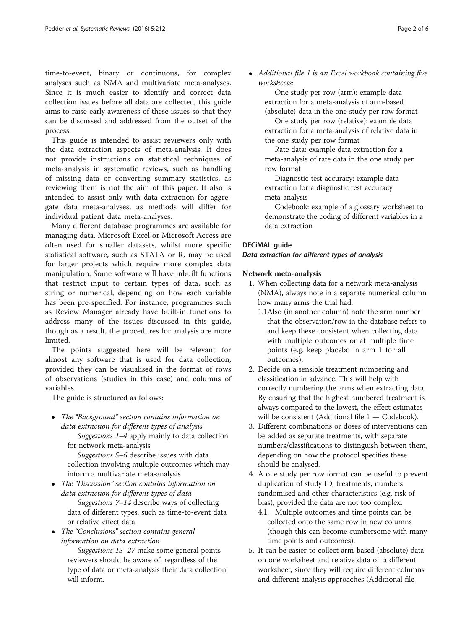time-to-event, binary or continuous, for complex analyses such as NMA and multivariate meta-analyses. Since it is much easier to identify and correct data collection issues before all data are collected, this guide aims to raise early awareness of these issues so that they can be discussed and addressed from the outset of the process.

This guide is intended to assist reviewers only with the data extraction aspects of meta-analysis. It does not provide instructions on statistical techniques of meta-analysis in systematic reviews, such as handling of missing data or converting summary statistics, as reviewing them is not the aim of this paper. It also is intended to assist only with data extraction for aggregate data meta-analyses, as methods will differ for individual patient data meta-analyses.

Many different database programmes are available for managing data. Microsoft Excel or Microsoft Access are often used for smaller datasets, whilst more specific statistical software, such as STATA or R, may be used for larger projects which require more complex data manipulation. Some software will have inbuilt functions that restrict input to certain types of data, such as string or numerical, depending on how each variable has been pre-specified. For instance, programmes such as Review Manager already have built-in functions to address many of the issues discussed in this guide, though as a result, the procedures for analysis are more limited.

The points suggested here will be relevant for almost any software that is used for data collection, provided they can be visualised in the format of rows of observations (studies in this case) and columns of variables.

The guide is structured as follows:

• The "[Background](#page-0-0)" section contains information on data extraction for different types of analysis Suggestions 1–4 apply mainly to data collection

for network meta-analysis Suggestions 5–6 describe issues with data collection involving multiple outcomes which may inform a multivariate meta-analysis

- The "[Discussion](#page-4-0)" section contains information on data extraction for different types of data Suggestions 7–14 describe ways of collecting data of different types, such as time-to-event data or relative effect data
- The "[Conclusions](#page-5-0)" section contains general information on data extraction

Suggestions 15–27 make some general points reviewers should be aware of, regardless of the type of data or meta-analysis their data collection will inform.

• Additional file [1](#page-5-0) is an Excel workbook containing five worksheets:

One study per row (arm): example data extraction for a meta-analysis of arm-based (absolute) data in the one study per row format

One study per row (relative): example data extraction for a meta-analysis of relative data in the one study per row format

Rate data: example data extraction for a meta-analysis of rate data in the one study per row format

Diagnostic test accuracy: example data extraction for a diagnostic test accuracy meta-analysis

Codebook: example of a glossary worksheet to demonstrate the coding of different variables in a data extraction

#### DECiMAL guide

#### Data extraction for different types of analysis

#### Network meta-analysis

- 1. When collecting data for a network meta-analysis (NMA), always note in a separate numerical column how many arms the trial had.
	- 1.1.Also (in another column) note the arm number that the observation/row in the database refers to and keep these consistent when collecting data with multiple outcomes or at multiple time points (e.g. keep placebo in arm 1 for all outcomes).
- 2. Decide on a sensible treatment numbering and classification in advance. This will help with correctly numbering the arms when extracting data. By ensuring that the highest numbered treatment is always compared to the lowest, the effect estimates will be consistent (Additional file [1](#page-5-0) — Codebook).
- 3. Different combinations or doses of interventions can be added as separate treatments, with separate numbers/classifications to distinguish between them, depending on how the protocol specifies these should be analysed.
- 4. A one study per row format can be useful to prevent duplication of study ID, treatments, numbers randomised and other characteristics (e.g. risk of bias), provided the data are not too complex.
	- 4.1. Multiple outcomes and time points can be collected onto the same row in new columns (though this can become cumbersome with many time points and outcomes).
- 5. It can be easier to collect arm-based (absolute) data on one worksheet and relative data on a different worksheet, since they will require different columns and different analysis approaches (Additional file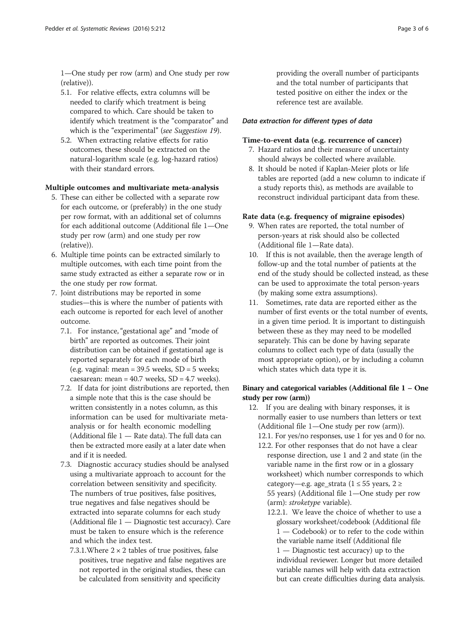[1](#page-5-0)—One study per row (arm) and One study per row (relative)).

- 5.1. For relative effects, extra columns will be needed to clarify which treatment is being compared to which. Care should be taken to identify which treatment is the "comparator" and which is the "experimental" (see Suggestion 19).
- 5.2. When extracting relative effects for ratio outcomes, these should be extracted on the natural-logarithm scale (e.g. log-hazard ratios) with their standard errors.

#### Multiple outcomes and multivariate meta-analysis

- 5. These can either be collected with a separate row for each outcome, or (preferably) in the one study per row format, with an additional set of columns for each additional outcome (Additional file [1](#page-5-0)—One study per row (arm) and one study per row (relative)).
- 6. Multiple time points can be extracted similarly to multiple outcomes, with each time point from the same study extracted as either a separate row or in the one study per row format.
- 7. Joint distributions may be reported in some studies—this is where the number of patients with each outcome is reported for each level of another outcome.
	- 7.1. For instance, "gestational age" and "mode of birth" are reported as outcomes. Their joint distribution can be obtained if gestational age is reported separately for each mode of birth (e.g. vaginal: mean = 39.5 weeks, SD = 5 weeks; caesarean: mean =  $40.7$  weeks, SD =  $4.7$  weeks).
	- 7.2. If data for joint distributions are reported, then a simple note that this is the case should be written consistently in a notes column, as this information can be used for multivariate metaanalysis or for health economic modelling (Additional file  $1 1 -$  Rate data). The full data can then be extracted more easily at a later date when and if it is needed.
	- 7.3. Diagnostic accuracy studies should be analysed using a multivariate approach to account for the correlation between sensitivity and specificity. The numbers of true positives, false positives, true negatives and false negatives should be extracted into separate columns for each study (Additional file [1](#page-5-0) — Diagnostic test accuracy). Care must be taken to ensure which is the reference and which the index test.
		- 7.3.1.Where  $2 \times 2$  tables of true positives, false positives, true negative and false negatives are not reported in the original studies, these can be calculated from sensitivity and specificity

providing the overall number of participants and the total number of participants that tested positive on either the index or the reference test are available.

# Data extraction for different types of data

#### Time-to-event data (e.g. recurrence of cancer)

- 7. Hazard ratios and their measure of uncertainty should always be collected where available.
- 8. It should be noted if Kaplan-Meier plots or life tables are reported (add a new column to indicate if a study reports this), as methods are available to reconstruct individual participant data from these.

# Rate data (e.g. frequency of migraine episodes)

- 9. When rates are reported, the total number of person-years at risk should also be collected (Additional file [1](#page-5-0)—Rate data).
- 10. If this is not available, then the average length of follow-up and the total number of patients at the end of the study should be collected instead, as these can be used to approximate the total person-years (by making some extra assumptions).
- 11. Sometimes, rate data are reported either as the number of first events or the total number of events, in a given time period. It is important to distinguish between these as they may need to be modelled separately. This can be done by having separate columns to collect each type of data (usually the most appropriate option), or by including a column which states which data type it is.

# Binary and categorical variables (Additional file [1](#page-5-0) – One study per row (arm))

- 12. If you are dealing with binary responses, it is normally easier to use numbers than letters or text (Additional file [1](#page-5-0)—One study per row (arm)).
	- 12.1. For yes/no responses, use 1 for yes and 0 for no.
	- 12.2. For other responses that do not have a clear response direction, use 1 and 2 and state (in the variable name in the first row or in a glossary worksheet) which number corresponds to which category—e.g. age\_strata ( $1 \leq 55$  years,  $2 \geq$ 55 years) (Additional file [1](#page-5-0)—One study per row (arm): stroketype variable).
		- 12.2.1. We leave the choice of whether to use a glossary worksheet/codebook (Additional file [1](#page-5-0) — Codebook) or to refer to the code within the variable name itself (Additional file [1](#page-5-0) — Diagnostic test accuracy) up to the individual reviewer. Longer but more detailed
			- variable names will help with data extraction but can create difficulties during data analysis.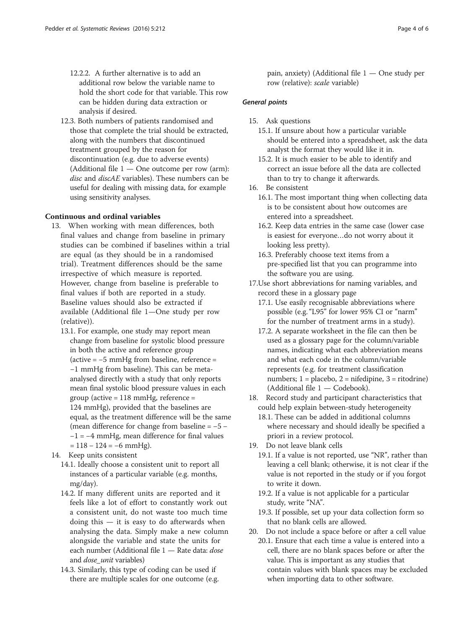- 12.2.2. A further alternative is to add an additional row below the variable name to hold the short code for that variable. This row can be hidden during data extraction or analysis if desired.
- 12.3. Both numbers of patients randomised and those that complete the trial should be extracted, along with the numbers that discontinued treatment grouped by the reason for discontinuation (e.g. due to adverse events) (Additional file  $1 1 -$ One outcome per row (arm): disc and discAE variables). These numbers can be useful for dealing with missing data, for example using sensitivity analyses.

#### Continuous and ordinal variables

- 13. When working with mean differences, both final values and change from baseline in primary studies can be combined if baselines within a trial are equal (as they should be in a randomised trial). Treatment differences should be the same irrespective of which measure is reported. However, change from baseline is preferable to final values if both are reported in a study. Baseline values should also be extracted if available (Additional file [1](#page-5-0)—One study per row (relative)).
	- 13.1. For example, one study may report mean change from baseline for systolic blood pressure in both the active and reference group (active = −5 mmHg from baseline, reference = −1 mmHg from baseline). This can be metaanalysed directly with a study that only reports mean final systolic blood pressure values in each group (active = 118 mmHg, reference = 124 mmHg), provided that the baselines are equal, as the treatment difference will be the same (mean difference for change from baseline = −5 − −1 = −4 mmHg, mean difference for final values  $= 118 - 124 = -6$  mmHg).
- 14. Keep units consistent
	- 14.1. Ideally choose a consistent unit to report all instances of a particular variable (e.g. months, mg/day).
	- 14.2. If many different units are reported and it feels like a lot of effort to constantly work out a consistent unit, do not waste too much time doing this  $-$  it is easy to do afterwards when analysing the data. Simply make a new column alongside the variable and state the units for each number (Additional file [1](#page-5-0) — Rate data: dose and *dose unit* variables)
	- 14.3. Similarly, this type of coding can be used if there are multiple scales for one outcome (e.g.

pain, anxiety) (Additional file [1](#page-5-0) — One study per row (relative): scale variable)

#### General points

- 15. Ask questions
	- 15.1. If unsure about how a particular variable should be entered into a spreadsheet, ask the data analyst the format they would like it in.
	- 15.2. It is much easier to be able to identify and correct an issue before all the data are collected than to try to change it afterwards.
- 16. Be consistent
	- 16.1. The most important thing when collecting data is to be consistent about how outcomes are entered into a spreadsheet.
	- 16.2. Keep data entries in the same case (lower case is easiest for everyone…do not worry about it looking less pretty).
	- 16.3. Preferably choose text items from a pre-specified list that you can programme into the software you are using.
- 17.Use short abbreviations for naming variables, and record these in a glossary page
	- 17.1. Use easily recognisable abbreviations where possible (e.g."L95" for lower 95% CI or "narm" for the number of treatment arms in a study).
	- 17.2. A separate worksheet in the file can then be used as a glossary page for the column/variable names, indicating what each abbreviation means and what each code in the column/variable represents (e.g. for treatment classification numbers;  $1 =$  placebo,  $2 =$  nifedipine,  $3 =$  ritodrine) (Additional file [1](#page-5-0) — Codebook).
- 18. Record study and participant characteristics that could help explain between-study heterogeneity 18.1. These can be added in additional columns
	- where necessary and should ideally be specified a priori in a review protocol.
- 19. Do not leave blank cells
	- 19.1. If a value is not reported, use "NR", rather than leaving a cell blank; otherwise, it is not clear if the value is not reported in the study or if you forgot to write it down.
	- 19.2. If a value is not applicable for a particular study, write "NA".
	- 19.3. If possible, set up your data collection form so that no blank cells are allowed.
- 20. Do not include a space before or after a cell value 20.1. Ensure that each time a value is entered into a cell, there are no blank spaces before or after the value. This is important as any studies that contain values with blank spaces may be excluded when importing data to other software.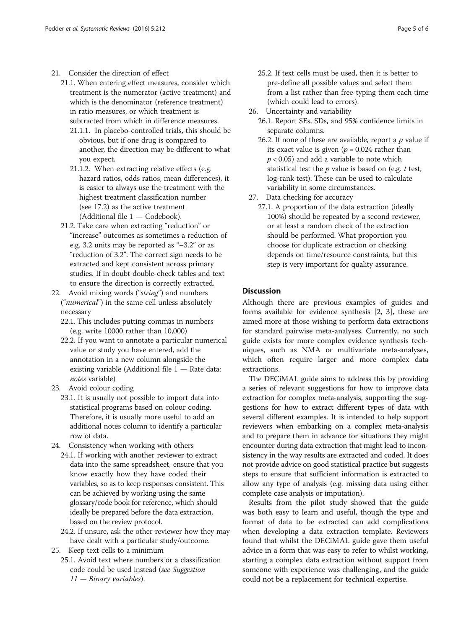- <span id="page-4-0"></span>21. Consider the direction of effect
	- 21.1. When entering effect measures, consider which treatment is the numerator (active treatment) and which is the denominator (reference treatment) in ratio measures, or which treatment is subtracted from which in difference measures.
		- 21.1.1. In placebo-controlled trials, this should be obvious, but if one drug is compared to another, the direction may be different to what you expect.
		- 21.1.2. When extracting relative effects (e.g. hazard ratios, odds ratios, mean differences), it is easier to always use the treatment with the highest treatment classification number (see 17.2) as the active treatment (Additional file [1](#page-5-0) — Codebook).
	- 21.2. Take care when extracting "reduction" or "increase" outcomes as sometimes a reduction of e.g. 3.2 units may be reported as "–3.2" or as "reduction of 3.2". The correct sign needs to be extracted and kept consistent across primary studies. If in doubt double-check tables and text to ensure the direction is correctly extracted.
- 22. Avoid mixing words ("string") and numbers ("numerical") in the same cell unless absolutely necessary
	- 22.1. This includes putting commas in numbers (e.g. write 10000 rather than 10,000)
	- 22.2. If you want to annotate a particular numerical value or study you have entered, add the annotation in a new column alongside the existing variable (Additional file [1](#page-5-0) — Rate data: notes variable)
- 23. Avoid colour coding
	- 23.1. It is usually not possible to import data into statistical programs based on colour coding. Therefore, it is usually more useful to add an additional notes column to identify a particular row of data.
- 24. Consistency when working with others
- 24.1. If working with another reviewer to extract data into the same spreadsheet, ensure that you know exactly how they have coded their variables, so as to keep responses consistent. This can be achieved by working using the same glossary/code book for reference, which should ideally be prepared before the data extraction, based on the review protocol.
	- 24.2. If unsure, ask the other reviewer how they may have dealt with a particular study/outcome.
- 25. Keep text cells to a minimum
- 25.1. Avoid text where numbers or a classification code could be used instead (see Suggestion  $11$  – Binary variables).
- 25.2. If text cells must be used, then it is better to pre-define all possible values and select them from a list rather than free-typing them each time (which could lead to errors).
- 26. Uncertainty and variability
	- 26.1. Report SEs, SDs, and 95% confidence limits in separate columns.
	- 26.2. If none of these are available, report a  $p$  value if its exact value is given ( $p = 0.024$  rather than  $p < 0.05$ ) and add a variable to note which statistical test the  $p$  value is based on (e.g.  $t$  test, log-rank test). These can be used to calculate variability in some circumstances.
- 27. Data checking for accuracy
	- 27.1. A proportion of the data extraction (ideally 100%) should be repeated by a second reviewer, or at least a random check of the extraction should be performed. What proportion you choose for duplicate extraction or checking depends on time/resource constraints, but this step is very important for quality assurance.

# **Discussion**

Although there are previous examples of guides and forms available for evidence synthesis [[2](#page-5-0), [3](#page-5-0)], these are aimed more at those wishing to perform data extractions for standard pairwise meta-analyses. Currently, no such guide exists for more complex evidence synthesis techniques, such as NMA or multivariate meta-analyses, which often require larger and more complex data extractions.

The DECiMAL guide aims to address this by providing a series of relevant suggestions for how to improve data extraction for complex meta-analysis, supporting the suggestions for how to extract different types of data with several different examples. It is intended to help support reviewers when embarking on a complex meta-analysis and to prepare them in advance for situations they might encounter during data extraction that might lead to inconsistency in the way results are extracted and coded. It does not provide advice on good statistical practice but suggests steps to ensure that sufficient information is extracted to allow any type of analysis (e.g. missing data using either complete case analysis or imputation).

Results from the pilot study showed that the guide was both easy to learn and useful, though the type and format of data to be extracted can add complications when developing a data extraction template. Reviewers found that whilst the DECiMAL guide gave them useful advice in a form that was easy to refer to whilst working, starting a complex data extraction without support from someone with experience was challenging, and the guide could not be a replacement for technical expertise.